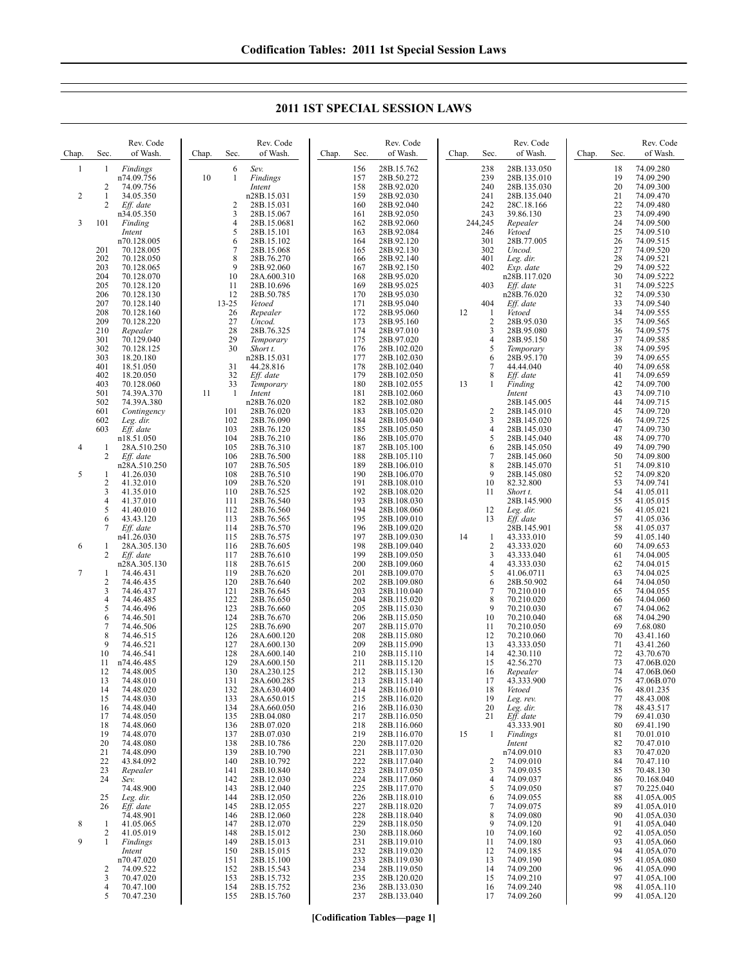**2011 1ST SPECIAL SESSION LAWS**

| Chap.        | Sec.       | Rev. Code<br>of Wash.     | Chap. | Sec.         | Rev. Code<br>of Wash.      | Chap. | Sec.       | Rev. Code<br>of Wash.      | Chap. | Sec.                 | Rev. Code<br>of Wash.      | Chap. | Sec.     | Rev. Code<br>of Wash.    |
|--------------|------------|---------------------------|-------|--------------|----------------------------|-------|------------|----------------------------|-------|----------------------|----------------------------|-------|----------|--------------------------|
| $\mathbf{1}$ | 1          | Findings<br>n74.09.756    | 10    | 6<br>1       | Sev.<br>Findings           |       | 156<br>157 | 28B.15.762<br>28B.50.272   |       | 238<br>239           | 28B.133.050<br>28B.135.010 |       | 18<br>19 | 74.09.280<br>74.09.290   |
| 2            | 2<br>1     | 74.09.756<br>34.05.350    |       |              | Intent<br>n28B.15.031      |       | 158<br>159 | 28B.92.020<br>28B.92.030   |       | 240<br>241           | 28B.135.030<br>28B.135.040 |       | 20<br>21 | 74.09.300<br>74.09.470   |
|              | 2          | Eff. date                 |       | 2            | 28B.15.031                 |       | 160        | 28B.92.040                 |       | 242                  | 28C.18.166                 |       | 22       | 74.09.480                |
| 3            | 101        | n34.05.350<br>Finding     |       | 3<br>4       | 28B.15.067<br>28B.15.0681  |       | 161<br>162 | 28B.92.050<br>28B.92.060   |       | 243<br>244,245       | 39.86.130<br>Repealer      |       | 23<br>24 | 74.09.490<br>74.09.500   |
|              |            | Intent                    |       | 5            | 28B.15.101                 |       | 163        | 28B.92.084                 |       | 246                  | Vetoed                     |       | 25       | 74.09.510                |
|              |            | n70.128.005               |       | 6            | 28B.15.102                 |       | 164        | 28B.92.120                 |       | 301                  | 28B.77.005                 |       | 26       | 74.09.515                |
|              | 201<br>202 | 70.128.005<br>70.128.050  |       | 7<br>8       | 28B.15.068<br>28B.76.270   |       | 165<br>166 | 28B.92.130<br>28B.92.140   |       | 302<br>401           | Uncod.<br>Leg. dir.        |       | 27<br>28 | 74.09.520<br>74.09.521   |
|              | 203        | 70.128.065                |       | 9            | 28B.92.060                 |       | 167        | 28B.92.150                 |       | 402                  | Exp. date                  |       | 29       | 74.09.522                |
|              | 204<br>205 | 70.128.070<br>70.128.120  |       | 10<br>11     | 28A.600.310<br>28B.10.696  |       | 168<br>169 | 28B.95.020<br>28B.95.025   |       | 403                  | n28B.117.020<br>Eff. date  |       | 30<br>31 | 74.09.5222<br>74.09.5225 |
|              | 206        | 70.128.130                |       | 12           | 28B.50.785                 |       | 170        | 28B.95.030                 |       |                      | n28B.76.020                |       | 32       | 74.09.530                |
|              | 207<br>208 | 70.128.140<br>70.128.160  |       | 13-25<br>26  | Vetoed<br>Repealer         |       | 171<br>172 | 28B.95.040<br>28B.95.060   | 12    | 404<br>$\mathbf{1}$  | Eff. date<br>Vetoed        |       | 33<br>34 | 74.09.540<br>74.09.555   |
|              | 209        | 70.128.220                |       | 27           | Uncod.                     |       | 173        | 28B.95.160                 |       | $\overline{2}$       | 28B.95.030                 |       | 35       | 74.09.565                |
|              | 210<br>301 | Repealer                  |       | 28<br>29     | 28B.76.325                 |       | 174<br>175 | 28B.97.010                 |       | 3<br>4               | 28B.95.080                 |       | 36<br>37 | 74.09.575                |
|              | 302        | 70.129.040<br>70.128.125  |       | 30           | Temporary<br>Short t.      |       | 176        | 28B.97.020<br>28B.102.020  |       | 5                    | 28B.95.150<br>Temporary    |       | 38       | 74.09.585<br>74.09.595   |
|              | 303        | 18.20.180                 |       |              | n28B.15.031                |       | 177        | 28B.102.030                |       | 6                    | 28B.95.170                 |       | 39       | 74.09.655                |
|              | 401<br>402 | 18.51.050<br>18.20.050    |       | 31<br>32     | 44.28.816<br>Eff. date     |       | 178<br>179 | 28B.102.040<br>28B.102.050 |       | 7<br>8               | 44.44.040<br>Eff. date     |       | 40<br>41 | 74.09.658<br>74.09.659   |
|              | 403        | 70.128.060                |       | 33           | Temporary                  |       | 180        | 28B.102.055                | 13    | 1                    | Finding                    |       | 42       | 74.09.700                |
|              | 501<br>502 | 74.39A.370<br>74.39A.380  | 11    | $\mathbf{1}$ | Intent<br>n28B.76.020      |       | 181<br>182 | 28B.102.060<br>28B.102.080 |       |                      | Intent<br>28B.145.005      |       | 43<br>44 | 74.09.710<br>74.09.715   |
|              | 601        | Contingency               |       | 101          | 28B.76.020                 |       | 183        | 28B.105.020                |       | $\overline{c}$       | 28B.145.010                |       | 45       | 74.09.720                |
|              | 602<br>603 | Leg. dir.<br>Eff. date    |       | 102<br>103   | 28B.76.090<br>28B.76.120   |       | 184<br>185 | 28B.105.040<br>28B.105.050 |       | 3<br>4               | 28B.145.020<br>28B.145.030 |       | 46<br>47 | 74.09.725<br>74.09.730   |
|              |            | n18.51.050                |       | 104          | 28B.76.210                 |       | 186        | 28B.105.070                |       | 5                    | 28B.145.040                |       | 48       | 74.09.770                |
| 4            | 1          | 28A.510.250               |       | 105          | 28B.76.310                 |       | 187        | 28B.105.100                |       | 6                    | 28B.145.050                |       | 49       | 74.09.790                |
|              | 2          | Eff. date<br>n28A.510.250 |       | 106<br>107   | 28B.76.500<br>28B.76.505   |       | 188<br>189 | 28B.105.110<br>28B.106.010 |       | 7<br>8               | 28B.145.060<br>28B.145.070 |       | 50<br>51 | 74.09.800<br>74.09.810   |
| 5            | 1          | 41.26.030                 |       | 108          | 28B.76.510                 |       | 190        | 28B.106.070                |       | 9                    | 28B.145.080                |       | 52       | 74.09.820                |
|              | 2<br>3     | 41.32.010<br>41.35.010    |       | 109<br>110   | 28B.76.520<br>28B.76.525   |       | 191<br>192 | 28B.108.010<br>28B.108.020 |       | 10<br>11             | 82.32.800<br>Short t.      |       | 53<br>54 | 74.09.741<br>41.05.011   |
|              | 4          | 41.37.010                 |       | 111          | 28B.76.540                 |       | 193        | 28B.108.030                |       |                      | 28B.145.900                |       | 55       | 41.05.015                |
|              | 5<br>6     | 41.40.010<br>43.43.120    |       | 112<br>113   | 28B.76.560<br>28B.76.565   |       | 194<br>195 | 28B.108.060<br>28B.109.010 |       | 12<br>13             | Leg. dir.<br>Eff. date     |       | 56<br>57 | 41.05.021<br>41.05.036   |
|              | 7          | Eff. date                 |       | 114          | 28B.76.570                 |       | 196        | 28B.109.020                |       |                      | 28B.145.901                |       | 58       | 41.05.037                |
| 6            | 1          | n41.26.030<br>28A.305.130 |       | 115<br>116   | 28B.76.575<br>28B.76.605   |       | 197<br>198 | 28B.109.030<br>28B.109.040 | 14    | -1<br>$\overline{c}$ | 43.333.010<br>43.333.020   |       | 59<br>60 | 41.05.140<br>74.09.653   |
|              | 2          | Eff. date                 |       | 117          | 28B.76.610                 |       | 199        | 28B.109.050                |       | 3                    | 43.333.040                 |       | 61       | 74.04.005                |
|              |            | n28A.305.130              |       | 118          | 28B.76.615                 |       | 200        | 28B.109.060                |       | 4                    | 43.333.030                 |       | 62       | 74.04.015                |
| 7            | 1<br>2     | 74.46.431<br>74.46.435    |       | 119<br>120   | 28B.76.620<br>28B.76.640   |       | 201<br>202 | 28B.109.070<br>28B.109.080 |       | 5<br>6               | 41.06.0711<br>28B.50.902   |       | 63<br>64 | 74.04.025<br>74.04.050   |
|              | 3          | 74.46.437                 |       | 121          | 28B.76.645                 |       | 203        | 28B.110.040                |       | $\boldsymbol{7}$     | 70.210.010                 |       | 65       | 74.04.055                |
|              | 4<br>5     | 74.46.485<br>74.46.496    |       | 122<br>123   | 28B.76.650<br>28B.76.660   |       | 204<br>205 | 28B.115.020<br>28B.115.030 |       | 8<br>9               | 70.210.020<br>70.210.030   |       | 66<br>67 | 74.04.060<br>74.04.062   |
|              | 6          | 74.46.501                 |       | 124          | 28B.76.670                 |       | 206        | 28B.115.050                |       | 10                   | 70.210.040                 |       | 68       | 74.04.290                |
|              | 7<br>8     | 74.46.506<br>74.46.515    |       | 125<br>126   | 28B.76.690<br>28A.600.120  |       | 207<br>208 | 28B.115.070<br>28B.115.080 |       | 11<br>12             | 70.210.050<br>70.210.060   |       | 69<br>70 | 7.68.080<br>43.41.160    |
|              | 9          | 74.46.521                 |       | 127          | 28A.600.130                |       | 209        | 28B.115.090                |       | 13                   | 43.333.050                 |       | 71       | 43.41.260                |
|              | 10         | 74.46.541                 |       | 128<br>129   | 28A.600.140                |       | 210<br>211 | 28B.115.110                |       | 14<br>15             | 42.30.110                  |       | 72<br>73 | 43.70.670<br>47.06B.020  |
|              | 11<br>12   | n74.46.485<br>74.48.005   |       | 130          | 28A.600.150<br>28A.230.125 |       | 212        | 28B.115.120<br>28B.115.130 |       | 16                   | 42.56.270<br>Repealer      |       | 74       | 47.06B.060               |
|              | 13         | 74.48.010                 |       | 131          | 28A.600.285                |       | 213        | 28B.115.140                |       | 17                   | 43.333.900                 |       | 75       | 47.06B.070               |
|              | 14<br>15   | 74.48.020<br>74.48.030    |       | 132<br>133   | 28A.630.400<br>28A.650.015 |       | 214<br>215 | 28B.116.010<br>28B.116.020 |       | 18<br>19             | Vetoed<br>Leg. rev.        |       | 76<br>77 | 48.01.235<br>48.43.008   |
|              | 16         | 74.48.040                 |       | 134          | 28A.660.050                |       | 216        | 28B.116.030                |       | 20                   | Leg. dir.                  |       | 78       | 48.43.517                |
|              | 17<br>18   | 74.48.050<br>74.48.060    |       | 135<br>136   | 28B.04.080<br>28B.07.020   |       | 217<br>218 | 28B.116.050<br>28B.116.060 |       | 21                   | Eff. date<br>43.333.901    |       | 79<br>80 | 69.41.030<br>69.41.190   |
|              | 19         | 74.48.070                 |       | 137          | 28B.07.030                 |       | 219        | 28B.116.070                | 15    | 1                    | Findings                   |       | 81       | 70.01.010                |
|              | 20<br>21   | 74.48.080<br>74.48.090    |       | 138<br>139   | 28B.10.786<br>28B.10.790   |       | 220<br>221 | 28B.117.020<br>28B.117.030 |       |                      | Intent<br>n74.09.010       |       | 82<br>83 | 70.47.010<br>70.47.020   |
|              | 22         | 43.84.092                 |       | 140          | 28B.10.792                 |       | 222        | 28B.117.040                |       | 2                    | 74.09.010                  |       | 84       | 70.47.110                |
|              | 23         | Repealer                  |       | 141          | 28B.10.840                 |       | 223        | 28B.117.050                |       | 3                    | 74.09.035                  |       | 85       | 70.48.130                |
|              | 24         | Sev.<br>74.48.900         |       | 142<br>143   | 28B.12.030<br>28B.12.040   |       | 224<br>225 | 28B.117.060<br>28B.117.070 |       | 4<br>5               | 74.09.037<br>74.09.050     |       | 86<br>87 | 70.168.040<br>70.225.040 |
|              | 25         | Leg. dir.                 |       | 144          | 28B.12.050                 |       | 226        | 28B.118.010                |       | 6                    | 74.09.055                  |       | 88       | 41.05A.005               |
|              | 26         | Eff. date<br>74.48.901    |       | 145<br>146   | 28B.12.055<br>28B.12.060   |       | 227<br>228 | 28B.118.020<br>28B.118.040 |       | $\overline{7}$<br>8  | 74.09.075<br>74.09.080     |       | 89<br>90 | 41.05A.010<br>41.05A.030 |
| 8            | 1          | 41.05.065                 |       | 147          | 28B.12.070                 |       | 229        | 28B.118.050                |       | 9                    | 74.09.120                  |       | 91       | 41.05A.040               |
| 9            | 2<br>1     | 41.05.019<br>Findings     |       | 148<br>149   | 28B.15.012<br>28B.15.013   |       | 230<br>231 | 28B.118.060<br>28B.119.010 |       | 10<br>11             | 74.09.160<br>74.09.180     |       | 92<br>93 | 41.05A.050<br>41.05A.060 |
|              |            | Intent                    |       | 150          | 28B.15.015                 |       | 232        | 28B.119.020                |       | 12                   | 74.09.185                  |       | 94       | 41.05A.070               |
|              | 2          | n70.47.020<br>74.09.522   |       | 151<br>152   | 28B.15.100<br>28B.15.543   |       | 233<br>234 | 28B.119.030<br>28B.119.050 |       | 13<br>14             | 74.09.190<br>74.09.200     |       | 95<br>96 | 41.05A.080<br>41.05A.090 |
|              | 3          | 70.47.020                 |       | 153          | 28B.15.732                 |       | 235        | 28B.120.020                |       | 15                   | 74.09.210                  |       | 97       | 41.05A.100               |
|              | 4          | 70.47.100                 |       | 154          | 28B.15.752                 |       | 236        | 28B.133.030                |       | 16                   | 74.09.240                  |       | 98<br>99 | 41.05A.110               |
|              | 5          | 70.47.230                 |       | 155          | 28B.15.760                 |       | 237        | 28B.133.040                |       | 17                   | 74.09.260                  |       |          | 41.05A.120               |

## **[Codification Tables—page 1]**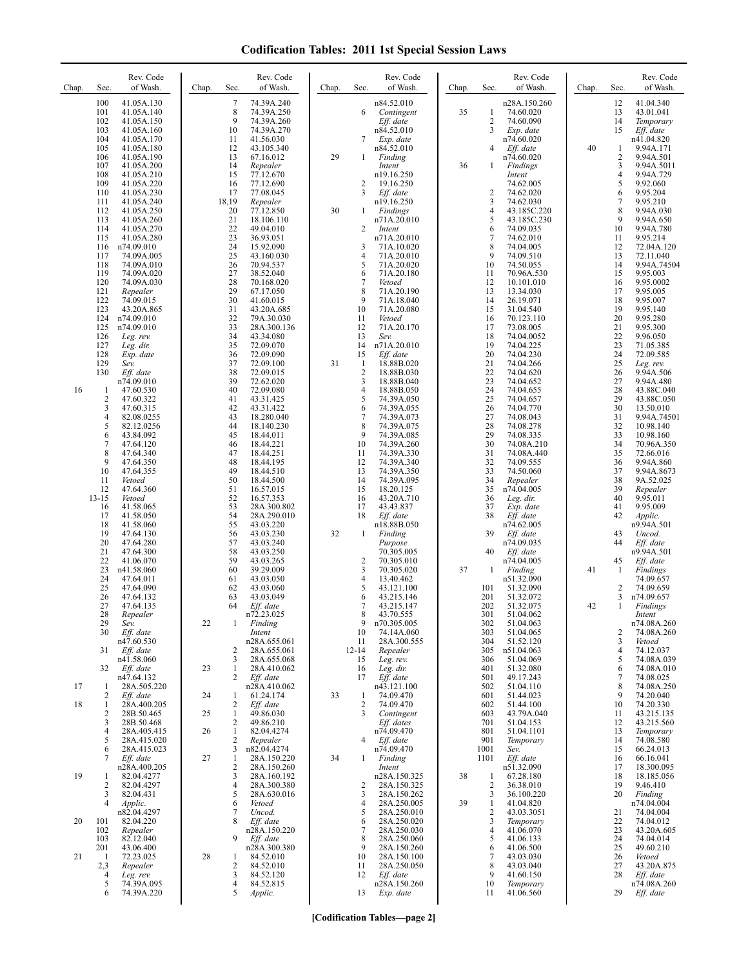## **Codification Tables: 2011 1st Special Session Laws**

| Chap. | Sec.                                                                                                    | Rev. Code<br>of Wash.                                                                                                                                                         | Chap.    | Sec.                                                                             | Rev. Code<br>of Wash.                                                                                                                                                                   | Chap. | Sec.                                                                | Rev. Code<br>of Wash.                                                                                                                                                                    | Chap.    | Sec.                                                                                               | Rev. Code<br>of Wash.                                                                                                                                                                    | Chap.    | Sec.                                                                       | Rev. Code<br>of Wash.                                                                                                                                                         |
|-------|---------------------------------------------------------------------------------------------------------|-------------------------------------------------------------------------------------------------------------------------------------------------------------------------------|----------|----------------------------------------------------------------------------------|-----------------------------------------------------------------------------------------------------------------------------------------------------------------------------------------|-------|---------------------------------------------------------------------|------------------------------------------------------------------------------------------------------------------------------------------------------------------------------------------|----------|----------------------------------------------------------------------------------------------------|------------------------------------------------------------------------------------------------------------------------------------------------------------------------------------------|----------|----------------------------------------------------------------------------|-------------------------------------------------------------------------------------------------------------------------------------------------------------------------------|
|       | 100<br>101<br>102<br>103<br>104<br>105<br>106<br>107<br>108<br>109<br>110                               | 41.05A.130<br>41.05A.140<br>41.05A.150<br>41.05A.160<br>41.05A.170<br>41.05A.180<br>41.05A.190<br>41.05A.200<br>41.05A.210<br>41.05A.220<br>41.05A.230                        |          | 7<br>8<br>9<br>10<br>11<br>12<br>13<br>14<br>15<br>16<br>17                      | 74.39A.240<br>74.39A.250<br>74.39A.260<br>74.39A.270<br>41.56.030<br>43.105.340<br>67.16.012<br>Repealer<br>77.12.670<br>77.12.690<br>77.08.045                                         | 29    | 6<br>7<br>$\mathbf{1}$<br>2<br>3                                    | n84.52.010<br>Contingent<br>Eff. date<br>n84.52.010<br>Exp. date<br>n84.52.010<br>Finding<br>Intent<br>n19.16.250<br>19.16.250<br>Eff. date                                              | 35<br>36 | 1<br>$\overline{2}$<br>3<br>4<br>1<br>2                                                            | n28A.150.260<br>74.60.020<br>74.60.090<br>Exp. date<br>n74.60.020<br>$Eff.$ date<br>n74.60.020<br>Findings<br>Intent<br>74.62.005<br>74.62.020                                           | 40       | 12<br>13<br>14<br>15<br>1<br>$\sqrt{2}$<br>3<br>4<br>5<br>6                | 41.04.340<br>43.01.041<br>Temporary<br>Eff. date<br>n41.04.820<br>9.94A.171<br>9.94A.501<br>9.94A.5011<br>9.94A.729<br>9.92.060<br>9.95.204                                   |
|       | 111<br>112<br>113<br>114<br>115<br>116<br>117<br>118<br>119<br>120<br>121<br>122<br>123                 | 41.05A.240<br>41.05A.250<br>41.05A.260<br>41.05A.270<br>41.05A.280<br>n74.09.010<br>74.09A.005<br>74.09A.010<br>74.09A.020<br>74.09A.030<br>Repealer<br>74.09.015             |          | 18,19<br>20<br>21<br>22<br>23<br>24<br>25<br>26<br>27<br>28<br>29<br>30          | Repealer<br>77.12.850<br>18.106.110<br>49.04.010<br>36.93.051<br>15.92.090<br>43.160.030<br>70.94.537<br>38.52.040<br>70.168.020<br>67.17.050<br>41.60.015                              | 30    | 1<br>2<br>3<br>4<br>5<br>6<br>7<br>8<br>9<br>10                     | n19.16.250<br>Findings<br>n71A.20.010<br>Intent<br>n71A.20.010<br>71A.10.020<br>71A.20.010<br>71A.20.020<br>71A.20.180<br>Vetoed<br>71A.20.190<br>71A.18.040<br>71A.20.080               |          | $\mathfrak{Z}$<br>$\overline{4}$<br>5<br>6<br>$\tau$<br>8<br>9<br>10<br>11<br>12<br>13<br>14<br>15 | 74.62.030<br>43.185C.220<br>43.185C.230<br>74.09.035<br>74.62.010<br>74.04.005<br>74.09.510<br>74.50.055<br>70.96A.530<br>10.101.010<br>13.34.030<br>26.19.071                           |          | 7<br>8<br>9<br>10<br>11<br>12<br>13<br>14<br>15<br>16<br>17<br>18<br>19    | 9.95.210<br>9.94A.030<br>9.94A.650<br>9.94A.780<br>9.95.214<br>72.04A.120<br>72.11.040<br>9.94A.74504<br>9.95.003<br>9.95.0002<br>9.95.005<br>9.95.007                        |
| 16    | 124<br>125<br>126<br>127<br>128<br>129<br>130<br>$\mathbf{1}$<br>$\sqrt{2}$<br>3<br>$\overline{4}$<br>5 | 43.20A.865<br>n74.09.010<br>n74.09.010<br>Leg. rev.<br>Leg. dir.<br>Exp. date<br>Sev.<br>Eff. date<br>n74.09.010<br>47.60.530<br>47.60.322<br>47.60.315<br>82.08.0255         |          | 31<br>32<br>33<br>34<br>35<br>36<br>37<br>38<br>39<br>40<br>41<br>42<br>43<br>44 | 43.20A.685<br>79A.30.030<br>28A.300.136<br>43.34.080<br>72.09.070<br>72.09.090<br>72.09.100<br>72.09.015<br>72.62.020<br>72.09.080<br>43.31.425<br>43.31.422<br>18.280.040              | 31    | 11<br>12<br>13<br>14<br>15<br>-1<br>2<br>3<br>4<br>5<br>6<br>7<br>8 | Vetoed<br>71A.20.170<br>Sev.<br>n71A.20.010<br>Eff. date<br>18.88B.020<br>18.88B.030<br>18.88B.040<br>18.88B.050<br>74.39A.050<br>74.39A.055<br>74.39A.073                               |          | 16<br>17<br>18<br>19<br>20<br>21<br>22<br>23<br>24<br>25<br>26<br>27<br>28                         | 31.04.540<br>70.123.110<br>73.08.005<br>74.04.0052<br>74.04.225<br>74.04.230<br>74.04.266<br>74.04.620<br>74.04.652<br>74.04.655<br>74.04.657<br>74.04.770<br>74.08.043                  |          | 20<br>21<br>22<br>23<br>24<br>25<br>26<br>27<br>28<br>29<br>30<br>31<br>32 | 9.95.140<br>9.95.280<br>9.95.300<br>9.96.050<br>71.05.385<br>72.09.585<br>Leg. rev.<br>9.94A.506<br>9.94A.480<br>43.88C.040<br>43.88C.050<br>13.50.010<br>9.94A.74501         |
|       | 6<br>7<br>8<br>9<br>10<br>11<br>12<br>$13 - 15$<br>16<br>17<br>18<br>19<br>20                           | 82.12.0256<br>43.84.092<br>47.64.120<br>47.64.340<br>47.64.350<br>47.64.355<br>Vetoed<br>47.64.360<br>Vetoed<br>41.58.065<br>41.58.050<br>41.58.060<br>47.64.130<br>47.64.280 |          | 45<br>46<br>47<br>48<br>49<br>50<br>51<br>52<br>53<br>54<br>55<br>56<br>57       | 18.140.230<br>18.44.011<br>18.44.221<br>18.44.251<br>18.44.195<br>18.44.510<br>18.44.500<br>16.57.015<br>16.57.353<br>28A.300.802<br>28A.290.010<br>43.03.220<br>43.03.230<br>43.03.240 | 32    | 9<br>10<br>11<br>12<br>13<br>14<br>15<br>16<br>17<br>18<br>1        | 74.39A.075<br>74.39A.085<br>74.39A.260<br>74.39A.330<br>74.39A.340<br>74.39A.350<br>74.39A.095<br>18.20.125<br>43.20A.710<br>43.43.837<br>Eff. date<br>n18.88B.050<br>Finding<br>Purpose |          | 29<br>30<br>31<br>32<br>33<br>34<br>35<br>36<br>37<br>38<br>39                                     | 74.08.278<br>74.08.335<br>74.08A.210<br>74.08A.440<br>74.09.555<br>74.50.060<br>Repealer<br>n74.04.005<br>Leg. dir.<br>Exp. date<br>Eff. date<br>n74.62.005<br>$Eff.$ date<br>n74.09.035 |          | 33<br>34<br>35<br>36<br>37<br>38<br>39<br>40<br>41<br>42<br>43<br>44       | 10.98.140<br>10.98.160<br>70.96A.350<br>72.66.016<br>9.94A.860<br>9.94A.8673<br>9A.52.025<br>Repealer<br>9.95.011<br>9.95.009<br>Applic.<br>n9.94A.501<br>Uncod.<br>Eff. date |
|       | 21<br>22<br>23<br>24<br>25<br>26<br>27<br>28<br>29<br>30<br>31                                          | 47.64.300<br>41.06.070<br>n41.58.060<br>47.64.011<br>47.64.090<br>47.64.132<br>47.64.135<br>Repealer<br>Sev.<br>Eff. date<br>n47.60.530<br>Eff. date                          | 22       | 58<br>59<br>60<br>61<br>62<br>63<br>64<br>1<br>2                                 | 43.03.250<br>43.03.265<br>39.29.009<br>43.03.050<br>43.03.060<br>43.03.049<br>Eff. date<br>n72.23.025<br>Finding<br>Intent<br>n28A.655.061<br>28A.655.061                               |       | 2<br>3<br>4<br>5<br>6<br>7<br>8<br>9<br>10<br>11<br>$12 - 14$       | 70.305.005<br>70.305.010<br>70.305.020<br>13.40.462<br>43.121.100<br>43.215.146<br>43.215.147<br>43.70.555<br>n70.305.005<br>74.14A.060<br>28A.300.555<br>Repealer                       | 37       | 40<br>-1<br>101<br>201<br>202<br>301<br>302<br>303<br>304<br>305                                   | $Eff.$ date<br>n74.04.005<br>Finding<br>n51.32.090<br>51.32.090<br>51.32.072<br>51.32.075<br>51.04.062<br>51.04.063<br>51.04.065<br>51.52.120<br>n51.04.063                              | 41<br>42 | 45<br>1<br>2<br>3<br>1<br>2<br>3<br>4                                      | n9.94A.501<br>Eff. date<br><b>Findings</b><br>74.09.657<br>74.09.659<br>n74.09.657<br>Findings<br>Intent<br>n74.08A.260<br>74.08A.260<br>Vetoed<br>74.12.037                  |
|       | 32                                                                                                      | n41.58.060<br>Eff. date                                                                                                                                                       | 23       | 3<br>1                                                                           | 28A.655.068<br>28A.410.062                                                                                                                                                              |       | 15<br>16                                                            | Leg. rev.<br>Leg. dir.                                                                                                                                                                   |          | 306<br>401                                                                                         | 51.04.069<br>51.32.080                                                                                                                                                                   |          | 5<br>6                                                                     | 74.08A.039<br>74.08A.010                                                                                                                                                      |
| 17    | -1<br>2                                                                                                 | n47.64.132<br>28A.505.220<br>Eff. date                                                                                                                                        | 24       | 2<br>1                                                                           | Eff. date<br>n28A.410.062<br>61.24.174                                                                                                                                                  | 33    | 17<br>1                                                             | Eff. date<br>n43.121.100<br>74.09.470                                                                                                                                                    |          | 501<br>502<br>601                                                                                  | 49.17.243<br>51.04.110<br>51.44.023                                                                                                                                                      |          | 7<br>8<br>9                                                                | 74.08.025<br>74.08A.250<br>74.20.040                                                                                                                                          |
| 18    | -1<br>2<br>3<br>4<br>5                                                                                  | 28A.400.205<br>28B.50.465<br>28B.50.468<br>28A.405.415<br>28A.415.020                                                                                                         | 25<br>26 | 2<br>1<br>2<br>1<br>2                                                            | Eff. date<br>49.86.030<br>49.86.210<br>82.04.4274<br>Repealer                                                                                                                           |       | 2<br>3<br>4                                                         | 74.09.470<br>Contingent<br>Eff. dates<br>n74.09.470<br>Eff. date                                                                                                                         |          | 602<br>603<br>701<br>801<br>901                                                                    | 51.44.100<br>43.79A.040<br>51.04.153<br>51.04.1101<br>Temporary                                                                                                                          |          | 10<br>11<br>12<br>13<br>14                                                 | 74.20.330<br>43.215.135<br>43.215.560<br>Temporary<br>74.08.580                                                                                                               |
| 19    | 6<br>7<br>-1<br>2<br>3<br>$\overline{4}$                                                                | 28A.415.023<br>Eff. date<br>n28A.400.205<br>82.04.4277<br>82.04.4297<br>82.04.431<br><i>Applic.</i>                                                                           | 27       | 3<br>1<br>2<br>3<br>4<br>5<br>6                                                  | n82.04.4274<br>28A.150.220<br>28A.150.260<br>28A.160.192<br>28A.300.380<br>28A.630.016<br>Vetoed                                                                                        | 34    | $\mathbf{1}$<br>2<br>3<br>4                                         | n74.09.470<br>Finding<br>Intent<br>n28A.150.325<br>28A.150.325<br>28A.150.262<br>28A.250.005                                                                                             | 38<br>39 | 1001<br>1101<br>1<br>$\overline{2}$<br>3<br>1                                                      | Sev.<br>$Eff.$ date<br>n51.32.090<br>67.28.180<br>36.38.010<br>36.100.220<br>41.04.820                                                                                                   |          | 15<br>16<br>17<br>18<br>19<br>20                                           | 66.24.013<br>66.16.041<br>18.300.095<br>18.185.056<br>9.46.410<br>Finding<br>n74.04.004                                                                                       |
| 20    | 101<br>102<br>103<br>201                                                                                | n82.04.4297<br>82.04.220<br>Repealer<br>82.12.040<br>43.06.400                                                                                                                |          | 7<br>8<br>9                                                                      | Uncod.<br>Eff. date<br>n28A.150.220<br>Eff. date<br>n28A.300.380                                                                                                                        |       | 5<br>6<br>7<br>8<br>9                                               | 28A.250.010<br>28A.250.020<br>28A.250.030<br>28A.250.060<br>28A.150.260                                                                                                                  |          | $\overline{2}$<br>3<br>$\overline{4}$<br>5<br>6                                                    | 43.03.3051<br>Temporary<br>41.06.070<br>41.06.133<br>41.06.500                                                                                                                           |          | 21<br>22<br>23<br>24<br>25                                                 | 74.04.004<br>74.04.012<br>43.20A.605<br>74.04.014<br>49.60.210                                                                                                                |
| 21    | -1<br>2,3<br>4<br>5<br>6                                                                                | 72.23.025<br>Repealer<br>Leg. rev.<br>74.39A.095<br>74.39A.220                                                                                                                | 28       | 1<br>2<br>3<br>4<br>5                                                            | 84.52.010<br>84.52.010<br>84.52.120<br>84.52.815<br>Applic.                                                                                                                             |       | 10<br>11<br>12<br>13                                                | 28A.150.100<br>28A.250.050<br>Eff. date<br>n28A.150.260<br>Exp. date                                                                                                                     |          | $\overline{7}$<br>8<br>9<br>10<br>11                                                               | 43.03.030<br>43.03.040<br>41.60.150<br>Temporary<br>41.06.560                                                                                                                            |          | 26<br>27<br>28<br>29                                                       | Vetoed<br>43.20A.875<br>Eff. date<br>n74.08A.260<br>Eff. date                                                                                                                 |

**[Codification Tables—page 2]**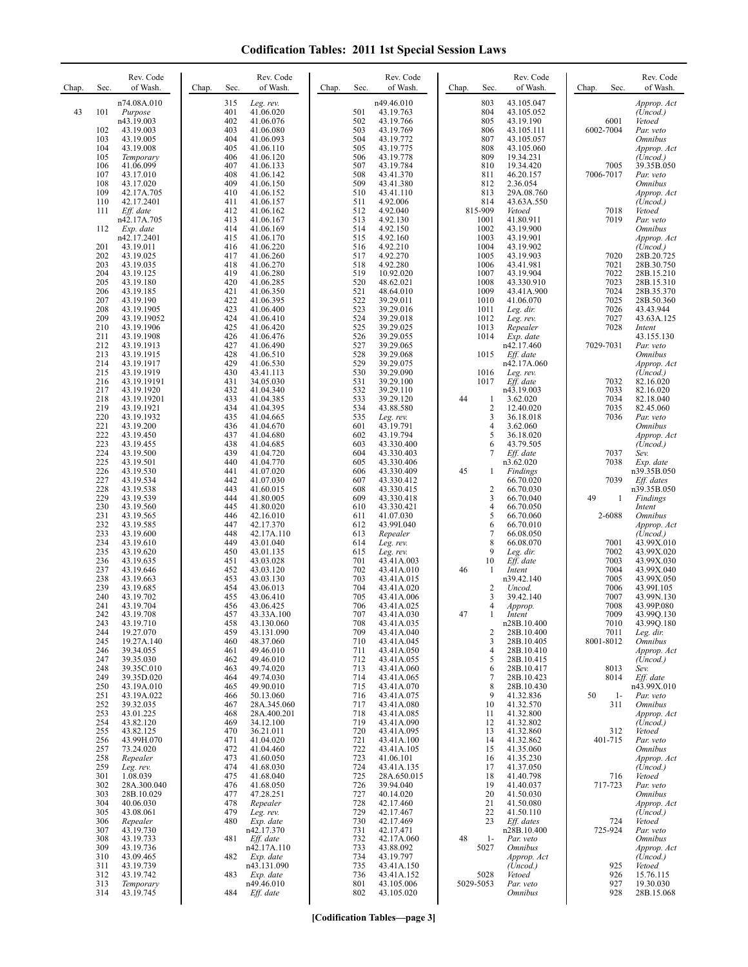## **Codification Tables: 2011 1st Special Session Laws**

| Chap. | Sec.       | Rev. Code<br>of Wash.     | Chap. | Sec.       | Rev. Code<br>of Wash.    | Chap. | Sec.       | Rev. Code<br>of Wash.    | Chap. | Sec.                           | Rev. Code<br>of Wash.              | Chap. | Sec.              | Rev. Code<br>of Wash.                |
|-------|------------|---------------------------|-------|------------|--------------------------|-------|------------|--------------------------|-------|--------------------------------|------------------------------------|-------|-------------------|--------------------------------------|
|       |            | n74.08A.010               |       | 315        | Leg. rev.                |       |            | n49.46.010               |       | 803                            | 43.105.047                         |       |                   | Approp. Act                          |
| 43    | 101        | Purpose<br>n43.19.003     |       | 401<br>402 | 41.06.020<br>41.06.076   |       | 501<br>502 | 43.19.763<br>43.19.766   |       | 804<br>805                     | 43.105.052<br>43.19.190            |       | 6001              | (Uncod.)<br>Vetoed                   |
|       | 102        | 43.19.003                 |       | 403        | 41.06.080                |       | 503        | 43.19.769                |       | 806                            | 43.105.111                         |       | 6002-7004         | Par. veto                            |
|       | 103<br>104 | 43.19.005<br>43.19.008    |       | 404<br>405 | 41.06.093<br>41.06.110   |       | 504<br>505 | 43.19.772<br>43.19.775   |       | 807<br>808                     | 43.105.057<br>43.105.060           |       |                   | <b>Omnibus</b><br>Approp. Act        |
|       | 105        | Temporary                 |       | 406        | 41.06.120                |       | 506        | 43.19.778                |       | 809                            | 19.34.231                          |       |                   | (Uncod.)                             |
|       | 106<br>107 | 41.06.099                 |       | 407<br>408 | 41.06.133                |       | 507<br>508 | 43.19.784                |       | 810                            | 19.34.420                          |       | 7005<br>7006-7017 | 39.35B.050                           |
|       | 108        | 43.17.010<br>43.17.020    |       | 409        | 41.06.142<br>41.06.150   |       | 509        | 43.41.370<br>43.41.380   |       | 811<br>812                     | 46.20.157<br>2.36.054              |       |                   | Par. veto<br><i><b>Omnibus</b></i>   |
|       | 109        | 42.17A.705                |       | 410        | 41.06.152                |       | 510        | 43.41.110                |       | 813                            | 29A.08.760                         |       |                   | Approp. Act                          |
|       | 110<br>111 | 42.17.2401<br>Eff. date   |       | 411<br>412 | 41.06.157<br>41.06.162   |       | 511<br>512 | 4.92.006<br>4.92.040     |       | 814<br>815-909                 | 43.63A.550<br>Vetoed               |       | 7018              | (Uncod.)<br>Vetoed                   |
|       |            | n42.17A.705               |       | 413        | 41.06.167                |       | 513        | 4.92.130                 |       | 1001                           | 41.80.911                          |       | 7019              | Par. veto                            |
|       | 112        | Exp. date<br>n42.17.2401  |       | 414<br>415 | 41.06.169<br>41.06.170   |       | 514<br>515 | 4.92.150<br>4.92.160     |       | 1002<br>1003                   | 43.19.900<br>43.19.901             |       |                   | <i><b>Omnibus</b></i><br>Approp. Act |
|       | 201        | 43.19.011                 |       | 416        | 41.06.220                |       | 516        | 4.92.210                 |       | 1004                           | 43.19.902                          |       |                   | (Uncod.)                             |
|       | 202<br>203 | 43.19.025<br>43.19.035    |       | 417<br>418 | 41.06.260<br>41.06.270   |       | 517<br>518 | 4.92.270<br>4.92.280     |       | 1005<br>1006                   | 43.19.903<br>43.41.981             |       | 7020<br>7021      | 28B.20.725<br>28B.30.750             |
|       | 204        | 43.19.125                 |       | 419        | 41.06.280                |       | 519        | 10.92.020                |       | 1007                           | 43.19.904                          |       | 7022              | 28B.15.210                           |
|       | 205<br>206 | 43.19.180<br>43.19.185    |       | 420<br>421 | 41.06.285<br>41.06.350   |       | 520<br>521 | 48.62.021<br>48.64.010   |       | 1008<br>1009                   | 43.330.910<br>43.41A.900           |       | 7023<br>7024      | 28B.15.310<br>28B.35.370             |
|       | 207        | 43.19.190                 |       | 422        | 41.06.395                |       | 522        | 39.29.011                |       | 1010                           | 41.06.070                          |       | 7025              | 28B.50.360                           |
|       | 208<br>209 | 43.19.1905<br>43.19.19052 |       | 423<br>424 | 41.06.400<br>41.06.410   |       | 523<br>524 | 39.29.016<br>39.29.018   |       | 1011<br>1012                   | Leg. dir.<br>Leg. rev.             |       | 7026<br>7027      | 43.43.944<br>43.63A.125              |
|       | 210        | 43.19.1906                |       | 425        | 41.06.420                |       | 525        | 39.29.025                |       | 1013                           | Repealer                           |       | 7028              | Intent                               |
|       | 211<br>212 | 43.19.1908<br>43.19.1913  |       | 426<br>427 | 41.06.476<br>41.06.490   |       | 526<br>527 | 39.29.055<br>39.29.065   |       | 1014                           | Exp. date<br>n42.17.460            |       | 7029-7031         | 43.155.130<br>Par. veto              |
|       | 213        | 43.19.1915                |       | 428        | 41.06.510                |       | 528        | 39.29.068                |       | 1015                           | Eff. date                          |       |                   | <i><b>Omnibus</b></i>                |
|       | 214<br>215 | 43.19.1917                |       | 429<br>430 | 41.06.530<br>43.41.113   |       | 529<br>530 | 39.29.075<br>39.29.090   |       | 1016                           | n42.17A.060                        |       |                   | Approp. Act                          |
|       | 216        | 43.19.1919<br>43.19.19191 |       | 431        | 34.05.030                |       | 531        | 39.29.100                |       | 1017                           | Leg. rev.<br>Eff. date             |       | 7032              | (Uncod.)<br>82.16.020                |
|       | 217        | 43.19.1920                |       | 432        | 41.04.340                |       | 532        | 39.29.110                |       |                                | n43.19.003                         |       | 7033              | 82.16.020                            |
|       | 218<br>219 | 43.19.19201<br>43.19.1921 |       | 433<br>434 | 41.04.385<br>41.04.395   |       | 533<br>534 | 39.29.120<br>43.88.580   | 44    | $\mathbf{1}$<br>$\overline{2}$ | 3.62.020<br>12.40.020              |       | 7034<br>7035      | 82.18.040<br>82.45.060               |
|       | 220        | 43.19.1932                |       | 435        | 41.04.665                |       | 535        | Leg. rev.                |       | 3                              | 36.18.018                          |       | 7036              | Par. veto                            |
|       | 221<br>222 | 43.19.200<br>43.19.450    |       | 436<br>437 | 41.04.670<br>41.04.680   |       | 601<br>602 | 43.19.791<br>43.19.794   |       | $\overline{4}$<br>5            | 3.62.060<br>36.18.020              |       |                   | <i><b>Omnibus</b></i><br>Approp. Act |
|       | 223        | 43.19.455                 |       | 438        | 41.04.685                |       | 603        | 43.330.400               |       | 6                              | 43.79.505                          |       |                   | (Uncod.)                             |
|       | 224<br>225 | 43.19.500<br>43.19.501    |       | 439<br>440 | 41.04.720<br>41.04.770   |       | 604<br>605 | 43.330.403<br>43.330.406 |       | $\overline{7}$                 | Eff. date<br>n3.62.020             |       | 7037<br>7038      | Sev.<br>Exp. date                    |
|       | 226        | 43.19.530                 |       | 441        | 41.07.020                |       | 606        | 43.330.409               | 45    | 1                              | Findings                           |       |                   | n39.35B.050                          |
|       | 227<br>228 | 43.19.534<br>43.19.538    |       | 442<br>443 | 41.07.030<br>41.60.015   |       | 607<br>608 | 43.330.412<br>43.330.415 |       | $\overline{2}$                 | 66.70.020<br>66.70.030             |       | 7039              | Eff. dates<br>n39.35B.050            |
|       | 229        | 43.19.539                 |       | 444        | 41.80.005                |       | 609        | 43.330.418               |       | 3                              | 66.70.040                          | 49    | 1                 | Findings                             |
|       | 230<br>231 | 43.19.560<br>43.19.565    |       | 445<br>446 | 41.80.020<br>42.16.010   |       | 610<br>611 | 43.330.421<br>41.07.030  |       | $\overline{4}$<br>5            | 66.70.050<br>66.70.060             |       | 2-6088            | Intent<br><i><b>Omnibus</b></i>      |
|       | 232        | 43.19.585                 |       | 447        | 42.17.370                |       | 612        | 43.991.040               |       | 6                              | 66.70.010                          |       |                   | Approp. Act                          |
|       | 233<br>234 | 43.19.600<br>43.19.610    |       | 448<br>449 | 42.17A.110<br>43.01.040  |       | 613<br>614 | Repealer<br>Leg. rev.    |       | $\overline{7}$<br>8            | 66.08.050<br>66.08.070             |       | 7001              | (Uncod.)<br>43.99X.010               |
|       | 235        | 43.19.620                 |       | 450        | 43.01.135                |       | 615        | Leg. rev.                |       | 9                              | Leg. dir.                          |       | 7002              | 43.99X.020                           |
|       | 236<br>237 | 43.19.635<br>43.19.646    |       | 451<br>452 | 43.03.028<br>43.03.120   |       | 701<br>702 | 43.41A.003<br>43.41A.010 | 46    | 10<br>-1                       | $Eff$ . date<br>Intent             |       | 7003<br>7004      | 43.99X.030<br>43.99X.040             |
|       | 238        | 43.19.663                 |       | 453        | 43.03.130                |       | 703        | 43.41A.015               |       |                                | n39.42.140                         |       | 7005              | 43.99X.050                           |
|       | 239<br>240 | 43.19.685<br>43.19.702    |       | 454<br>455 | 43.06.013<br>43.06.410   |       | 704<br>705 | 43.41A.020<br>43.41A.006 |       | 2<br>3                         | Uncod.<br>39.42.140                |       | 7006<br>7007      | 43.99I.105<br>43.99N.130             |
|       | 241        | 43.19.704                 |       | 456        | 43.06.425                |       | 706        | 43.41A.025               |       | $\overline{4}$                 | Approp.                            |       | 7008              | 43.99P.080                           |
|       | 242<br>243 | 43.19.708<br>43.19.710    |       | 457<br>458 | 43.33A.100<br>43.130.060 |       | 707<br>708 | 43.41A.030<br>43.41A.035 | 47    |                                | Intent<br>n28B.10.400              |       | 7009<br>7010      | 43.99Q.130<br>43.99Q.180             |
|       | 244        | 19.27.070                 |       | 459        | 43.131.090               |       | 709        | 43.41A.040               |       | $\overline{c}$                 | 28B.10.400                         |       | 7011              | Leg. dir.                            |
|       | 245<br>246 | 19.27A.140<br>39.34.055   |       | 460<br>461 | 48.37.060<br>49.46.010   |       | 710<br>711 | 43.41A.045<br>43.41A.050 |       | 3<br>4                         | 28B.10.405<br>28B.10.410           |       | 8001-8012         | <b>Omnibus</b><br>Approp. Act        |
|       | 247        | 39.35.030                 |       | 462        | 49.46.010                |       | 712        | 43.41A.055               |       | 5                              | 28B.10.415                         |       |                   | (Uncod.)                             |
|       | 248<br>249 | 39.35C.010<br>39.35D.020  |       | 463<br>464 | 49.74.020<br>49.74.030   |       | 713<br>714 | 43.41A.060<br>43.41A.065 |       | 6<br>$\overline{7}$            | 28B.10.417<br>28B.10.423           |       | 8013<br>8014      | Sev.<br>$Eff.$ date                  |
|       | 250        | 43.19A.010                |       | 465        | 49.90.010                |       | 715        | 43.41A.070               |       | 8                              | 28B.10.430                         |       |                   | n43.99X.010                          |
|       | 251<br>252 | 43.19A.022<br>39.32.035   |       | 466<br>467 | 50.13.060<br>28A.345.060 |       | 716<br>717 | 43.41A.075<br>43.41A.080 |       | 9<br>10                        | 41.32.836<br>41.32.570             | 50    | $1-$<br>311       | Par. veto<br><b>Omnibus</b>          |
|       | 253        | 43.01.225                 |       | 468        | 28A.400.201              |       | 718        | 43.41A.085               |       | 11                             | 41.32.800                          |       |                   | Approp. Act                          |
|       | 254<br>255 | 43.82.120<br>43.82.125    |       | 469<br>470 | 34.12.100<br>36.21.011   |       | 719<br>720 | 43.41A.090<br>43.41A.095 |       | 12<br>13                       | 41.32.802<br>41.32.860             |       | 312               | (Uncod.)<br>Vetoed                   |
|       | 256        | 43.99H.070                |       | 471        | 41.04.020                |       | 721        | 43.41A.100               |       | 14                             | 41.32.862                          |       | 401-715           | Par. veto                            |
|       | 257<br>258 | 73.24.020<br>Repealer     |       | 472<br>473 | 41.04.460<br>41.60.050   |       | 722<br>723 | 43.41A.105<br>41.06.101  |       | 15<br>16                       | 41.35.060<br>41.35.230             |       |                   | <i><b>Omnibus</b></i><br>Approp. Act |
|       | 259        | Leg. rev.                 |       | 474        | 41.68.030                |       | 724        | 43.41A.135               |       | 17                             | 41.37.050                          |       |                   | (Uncod.)                             |
|       | 301<br>302 | 1.08.039<br>28A.300.040   |       | 475<br>476 | 41.68.040<br>41.68.050   |       | 725<br>726 | 28A.650.015<br>39.94.040 |       | 18<br>19                       | 41.40.798<br>41.40.037             |       | 716<br>717-723    | Vetoed<br>Par. veto                  |
|       | 303        | 28B.10.029                |       | 477        | 47.28.251                |       | 727        | 40.14.020                |       | 20                             | 41.50.030                          |       |                   | <i><b>Omnibus</b></i>                |
|       | 304<br>305 | 40.06.030<br>43.08.061    |       | 478<br>479 | Repealer<br>Leg. rev.    |       | 728<br>729 | 42.17.460<br>42.17.467   |       | 21<br>22                       | 41.50.080<br>41.50.110             |       |                   | Approp. Act<br>(Uncod.)              |
|       | 306        | Repealer                  |       | 480        | Exp. date                |       | 730        | 42.17.469                |       | 23                             | Eff. dates                         |       | 724               | Vetoed                               |
|       | 307<br>308 | 43.19.730<br>43.19.733    |       | 481        | n42.17.370<br>Eff. date  |       | 731<br>732 | 42.17.471<br>42.17A.060  | 48    | $1-$                           | n28B.10.400<br>Par. veto           |       | 725-924           | Par. veto<br><i><b>Omnibus</b></i>   |
|       | 309        | 43.19.736                 |       |            | n42.17A.110              |       | 733        | 43.88.092                |       | 5027                           | <i><b>Omnibus</b></i>              |       |                   | Approp. Act                          |
|       | 310<br>311 | 43.09.465<br>43.19.739    |       | 482        | Exp. date<br>n43.131.090 |       | 734<br>735 | 43.19.797<br>43.41A.150  |       |                                | Approp. Act<br>(Uncod.)            |       | 925               | (Uncod.)<br>Vetoed                   |
|       | 312        | 43.19.742                 |       | 483        | Exp. date                |       | 736        | 43.41A.152               |       | 5028                           | Vetoed                             |       | 926               | 15.76.115                            |
|       | 313<br>314 | Temporary<br>43.19.745    |       | 484        | n49.46.010<br>Eff. date  |       | 801<br>802 | 43.105.006<br>43.105.020 |       | 5029-5053                      | Par. veto<br><i><b>Omnibus</b></i> |       | 927<br>928        | 19.30.030<br>28B.15.068              |
|       |            |                           |       |            |                          |       |            |                          |       |                                |                                    |       |                   |                                      |

**[Codification Tables—page 3]**